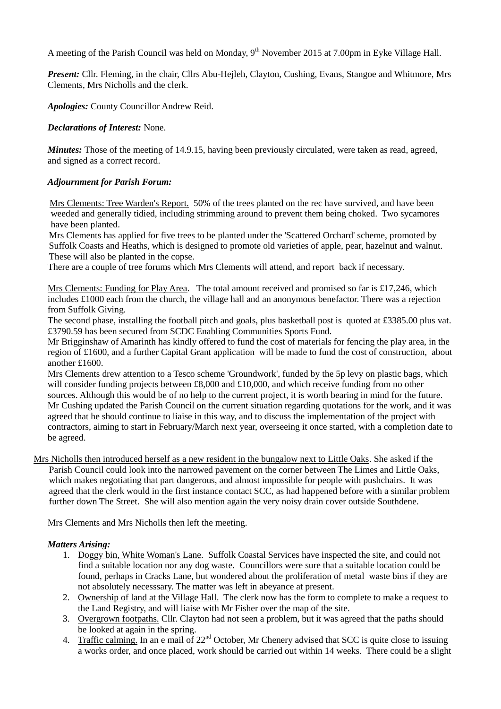A meeting of the Parish Council was held on Monday,  $9<sup>th</sup>$  November 2015 at 7.00pm in Eyke Village Hall.

*Present:* Cllr. Fleming, in the chair, Cllrs Abu-Hejleh, Clayton, Cushing, Evans, Stangoe and Whitmore, Mrs Clements, Mrs Nicholls and the clerk.

*Apologies:* County Councillor Andrew Reid.

### *Declarations of Interest:* None.

*Minutes:* Those of the meeting of 14.9.15, having been previously circulated, were taken as read, agreed, and signed as a correct record.

### *Adjournment for Parish Forum:*

 Mrs Clements: Tree Warden's Report. 50% of the trees planted on the rec have survived, and have been weeded and generally tidied, including strimming around to prevent them being choked. Two sycamores have been planted.

Mrs Clements has applied for five trees to be planted under the 'Scattered Orchard' scheme, promoted by Suffolk Coasts and Heaths, which is designed to promote old varieties of apple, pear, hazelnut and walnut. These will also be planted in the copse.

There are a couple of tree forums which Mrs Clements will attend, and report back if necessary.

Mrs Clements: Funding for Play Area. The total amount received and promised so far is £17,246, which includes £1000 each from the church, the village hall and an anonymous benefactor. There was a rejection from Suffolk Giving.

The second phase, installing the football pitch and goals, plus basketball post is quoted at £3385.00 plus vat. £3790.59 has been secured from SCDC Enabling Communities Sports Fund.

Mr Brigginshaw of Amarinth has kindly offered to fund the cost of materials for fencing the play area, in the region of £1600, and a further Capital Grant application will be made to fund the cost of construction, about another £1600.

Mrs Clements drew attention to a Tesco scheme 'Groundwork', funded by the 5p levy on plastic bags, which will consider funding projects between £8,000 and £10,000, and which receive funding from no other sources. Although this would be of no help to the current project, it is worth bearing in mind for the future. Mr Cushing updated the Parish Council on the current situation regarding quotations for the work, and it was agreed that he should continue to liaise in this way, and to discuss the implementation of the project with contractors, aiming to start in February/March next year, overseeing it once started, with a completion date to be agreed.

Mrs Nicholls then introduced herself as a new resident in the bungalow next to Little Oaks. She asked if the Parish Council could look into the narrowed pavement on the corner between The Limes and Little Oaks, which makes negotiating that part dangerous, and almost impossible for people with pushchairs. It was agreed that the clerk would in the first instance contact SCC, as had happened before with a similar problem further down The Street. She will also mention again the very noisy drain cover outside Southdene.

Mrs Clements and Mrs Nicholls then left the meeting.

#### *Matters Arising:*

- 1. Doggy bin, White Woman's Lane. Suffolk Coastal Services have inspected the site, and could not find a suitable location nor any dog waste. Councillors were sure that a suitable location could be found, perhaps in Cracks Lane, but wondered about the proliferation of metal waste bins if they are not absolutely necesssary. The matter was left in abeyance at present.
- 2. Ownership of land at the Village Hall. The clerk now has the form to complete to make a request to the Land Registry, and will liaise with Mr Fisher over the map of the site.
- 3. Overgrown footpaths. Cllr. Clayton had not seen a problem, but it was agreed that the paths should be looked at again in the spring.
- 4. Traffic calming. In an e mail of  $22<sup>nd</sup>$  October, Mr Chenery advised that SCC is quite close to issuing a works order, and once placed, work should be carried out within 14 weeks. There could be a slight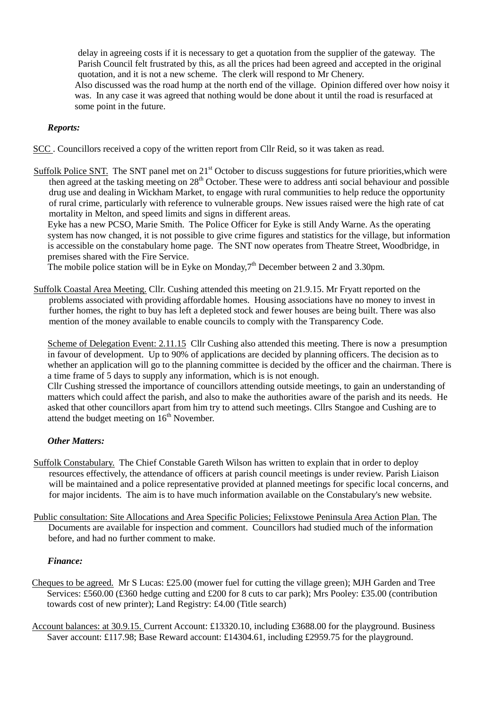delay in agreeing costs if it is necessary to get a quotation from the supplier of the gateway. The Parish Council felt frustrated by this, as all the prices had been agreed and accepted in the original quotation, and it is not a new scheme. The clerk will respond to Mr Chenery.

Also discussed was the road hump at the north end of the village. Opinion differed over how noisy it was. In any case it was agreed that nothing would be done about it until the road is resurfaced at some point in the future.

# *Reports:*

SCC . Councillors received a copy of the written report from Cllr Reid, so it was taken as read.

Suffolk Police SNT. The SNT panel met on 21<sup>st</sup> October to discuss suggestions for future priorities, which were then agreed at the tasking meeting on  $28<sup>th</sup>$  October. These were to address anti social behaviour and possible drug use and dealing in Wickham Market, to engage with rural communities to help reduce the opportunity of rural crime, particularly with reference to vulnerable groups. New issues raised were the high rate of cat mortality in Melton, and speed limits and signs in different areas.

Eyke has a new PCSO, Marie Smith. The Police Officer for Eyke is still Andy Warne. As the operating system has now changed, it is not possible to give crime figures and statistics for the village, but information is accessible on the constabulary home page. The SNT now operates from Theatre Street, Woodbridge, in premises shared with the Fire Service.

The mobile police station will be in Eyke on Monday,  $7<sup>th</sup>$  December between 2 and 3.30pm.

Suffolk Coastal Area Meeting. Cllr. Cushing attended this meeting on 21.9.15. Mr Fryatt reported on the problems associated with providing affordable homes. Housing associations have no money to invest in further homes, the right to buy has left a depleted stock and fewer houses are being built. There was also mention of the money available to enable councils to comply with the Transparency Code.

Scheme of Delegation Event: 2.11.15 Cllr Cushing also attended this meeting. There is now a presumption in favour of development. Up to 90% of applications are decided by planning officers. The decision as to whether an application will go to the planning committee is decided by the officer and the chairman. There is a time frame of 5 days to supply any information, which is is not enough.

Cllr Cushing stressed the importance of councillors attending outside meetings, to gain an understanding of matters which could affect the parish, and also to make the authorities aware of the parish and its needs. He asked that other councillors apart from him try to attend such meetings. Cllrs Stangoe and Cushing are to attend the budget meeting on  $16<sup>th</sup>$  November.

# *Other Matters:*

- Suffolk Constabulary. The Chief Constable Gareth Wilson has written to explain that in order to deploy resources effectively, the attendance of officers at parish council meetings is under review. Parish Liaison will be maintained and a police representative provided at planned meetings for specific local concerns, and for major incidents. The aim is to have much information available on the Constabulary's new website.
- Public consultation: Site Allocations and Area Specific Policies; Felixstowe Peninsula Area Action Plan. The Documents are available for inspection and comment. Councillors had studied much of the information before, and had no further comment to make.

#### *Finance:*

- Cheques to be agreed. Mr S Lucas: £25.00 (mower fuel for cutting the village green); MJH Garden and Tree Services: £560.00 (£360 hedge cutting and £200 for 8 cuts to car park); Mrs Pooley: £35.00 (contribution towards cost of new printer); Land Registry: £4.00 (Title search)
- Account balances: at 30.9.15. Current Account: £13320.10, including £3688.00 for the playground. Business Saver account: £117.98; Base Reward account: £14304.61, including £2959.75 for the playground.